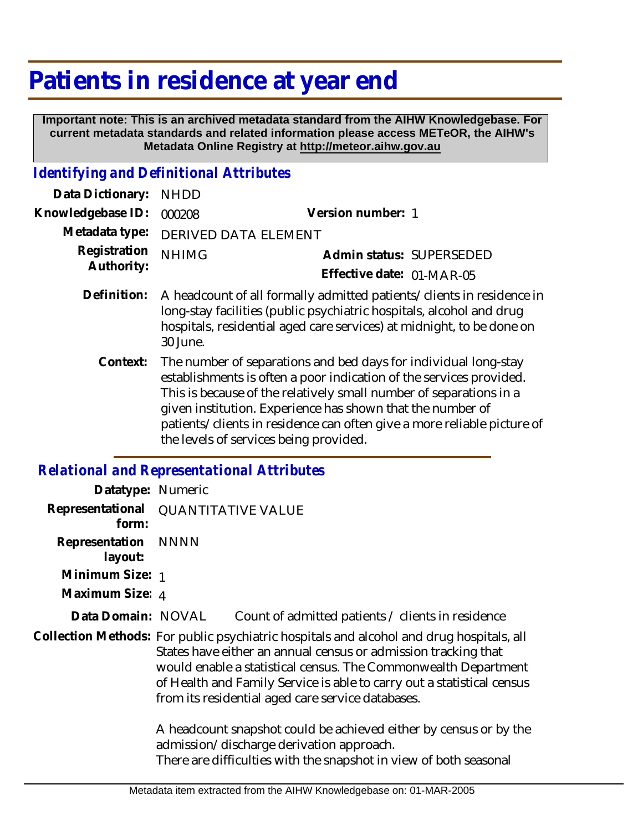## **Patients in residence at year end**

 **Important note: This is an archived metadata standard from the AIHW Knowledgebase. For current metadata standards and related information please access METeOR, the AIHW's Metadata Online Registry at http://meteor.aihw.gov.au**

## *Identifying and Definitional Attributes*

| Data Dictionary:           | <b>NHDD</b>                                                                                                                                                                                                                        |                           |  |
|----------------------------|------------------------------------------------------------------------------------------------------------------------------------------------------------------------------------------------------------------------------------|---------------------------|--|
| Knowledgebase ID:          | 000208                                                                                                                                                                                                                             | Version number: 1         |  |
| Metadata type:             | <b>DERIVED DATA ELEMENT</b>                                                                                                                                                                                                        |                           |  |
| Registration<br>Authority: | <b>NHIMG</b>                                                                                                                                                                                                                       | Admin status: SUPERSEDED  |  |
|                            |                                                                                                                                                                                                                                    | Effective date: 01-MAR-05 |  |
| Definition:                | A headcount of all formally admitted patients/clients in residence in<br>long-stay facilities (public psychiatric hospitals, alcohol and drug<br>hospitals, residential aged care services) at midnight, to be done on<br>30 June. |                           |  |
| Context:                   | The number of separations and bed days for individual long-stay<br>establishments is often a noor indication of the senices provided                                                                                               |                           |  |

establishments is often a poor indication of the services provided. This is because of the relatively small number of separations in a given institution. Experience has shown that the number of patients/clients in residence can often give a more reliable picture of the levels of services being provided.

## *Relational and Representational Attributes*

| Datatype: Numeric         |                                                                                                                                                                                                                                                                                                                                                             |                                                                                                                                                                                    |
|---------------------------|-------------------------------------------------------------------------------------------------------------------------------------------------------------------------------------------------------------------------------------------------------------------------------------------------------------------------------------------------------------|------------------------------------------------------------------------------------------------------------------------------------------------------------------------------------|
| Representational<br>form: | <b>QUANTITATIVE VALUE</b>                                                                                                                                                                                                                                                                                                                                   |                                                                                                                                                                                    |
| Representation<br>layout: | <b>NNNN</b>                                                                                                                                                                                                                                                                                                                                                 |                                                                                                                                                                                    |
| Minimum Size: 1           |                                                                                                                                                                                                                                                                                                                                                             |                                                                                                                                                                                    |
| Maximum Size: 4           |                                                                                                                                                                                                                                                                                                                                                             |                                                                                                                                                                                    |
| Data Domain: NOVAL        |                                                                                                                                                                                                                                                                                                                                                             | Count of admitted patients / clients in residence                                                                                                                                  |
|                           | Collection Methods: For public psychiatric hospitals and alcohol and drug hospitals, all<br>States have either an annual census or admission tracking that<br>would enable a statistical census. The Commonwealth Department<br>of Health and Family Service is able to carry out a statistical census<br>from its residential aged care service databases. |                                                                                                                                                                                    |
|                           |                                                                                                                                                                                                                                                                                                                                                             | A headcount snapshot could be achieved either by census or by the<br>admission/discharge derivation approach.<br>There are difficulties with the snapshot in view of both seasonal |